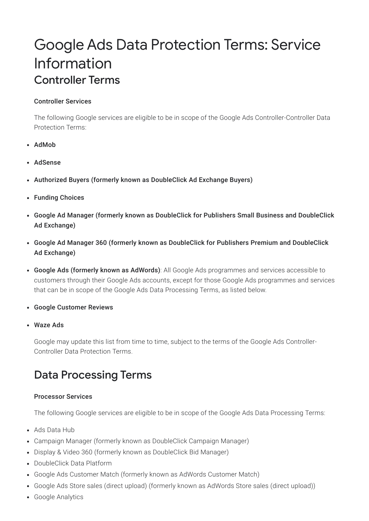# Google Ads Data Protection Terms: Service Information Controller Terms

## Controller Services

The following Google services are eligible to be in scope of the Google Ads Controller-Controller Data Protection Terms:

- AdMob
- AdSense
- Authorized Buyers (formerly known as DoubleClick Ad Exchange Buyers)
- Funding Choices
- Google Ad Manager (formerly known as DoubleClick for Publishers Small Business and DoubleClick Ad Exchange)
- Google Ad Manager 360 (formerly known as DoubleClick for Publishers Premium and DoubleClick Ad Exchange)
- Google Ads (formerly known as AdWords): All Google Ads programmes and services accessible to customers through their Google Ads accounts, except for those Google Ads programmes and services that can be in scope of the Google Ads Data Processing Terms, as listed below.
- Google Customer Reviews
- Waze Ads

Google may update this list from time to time, subject to the terms of the Google Ads Controller-Controller Data Protection Terms.

## Data Processing Terms

## Processor Services

The following Google services are eligible to be in scope of the Google Ads Data Processing Terms:

- Ads Data Hub
- Campaign Manager (formerly known as DoubleClick Campaign Manager)
- Display & Video 360 (formerly known as DoubleClick Bid Manager)
- DoubleClick Data Platform
- Google Ads Customer Match (formerly known as AdWords Customer Match)
- Google Ads Store sales (direct upload) (formerly known as AdWords Store sales (direct upload))
- Google Analytics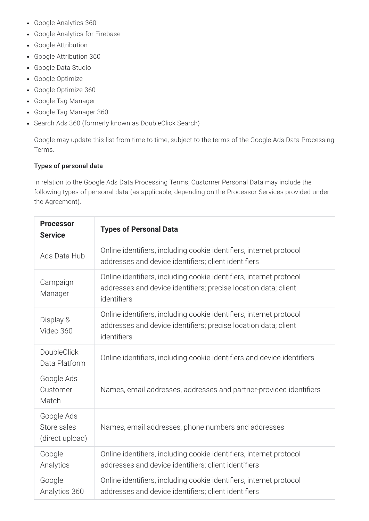- Google Analytics 360
- Google Analytics for Firebase
- Google Attribution
- Google Attribution 360
- Google Data Studio
- Google Optimize
- Google Optimize 360
- Google Tag Manager
- Google Tag Manager 360
- Search Ads 360 (formerly known as DoubleClick Search)

Google may update this list from time to time, subject to the terms of the Google Ads Data Processing Terms.

## Types of personal data

In relation to the Google Ads Data Processing Terms, Customer Personal Data may include the following types of personal data (as applicable, depending on the Processor Services provided under the Agreement).

| <b>Processor</b><br><b>Service</b>           | <b>Types of Personal Data</b>                                                                                                                         |
|----------------------------------------------|-------------------------------------------------------------------------------------------------------------------------------------------------------|
| Ads Data Hub                                 | Online identifiers, including cookie identifiers, internet protocol<br>addresses and device identifiers; client identifiers                           |
| Campaign<br>Manager                          | Online identifiers, including cookie identifiers, internet protocol<br>addresses and device identifiers; precise location data; client<br>identifiers |
| Display &<br>Video 360                       | Online identifiers, including cookie identifiers, internet protocol<br>addresses and device identifiers; precise location data; client<br>identifiers |
| <b>DoubleClick</b><br>Data Platform          | Online identifiers, including cookie identifiers and device identifiers                                                                               |
| Google Ads<br>Customer<br>Match              | Names, email addresses, addresses and partner-provided identifiers                                                                                    |
| Google Ads<br>Store sales<br>(direct upload) | Names, email addresses, phone numbers and addresses                                                                                                   |
| Google<br>Analytics                          | Online identifiers, including cookie identifiers, internet protocol<br>addresses and device identifiers; client identifiers                           |
| Google<br>Analytics 360                      | Online identifiers, including cookie identifiers, internet protocol<br>addresses and device identifiers; client identifiers                           |